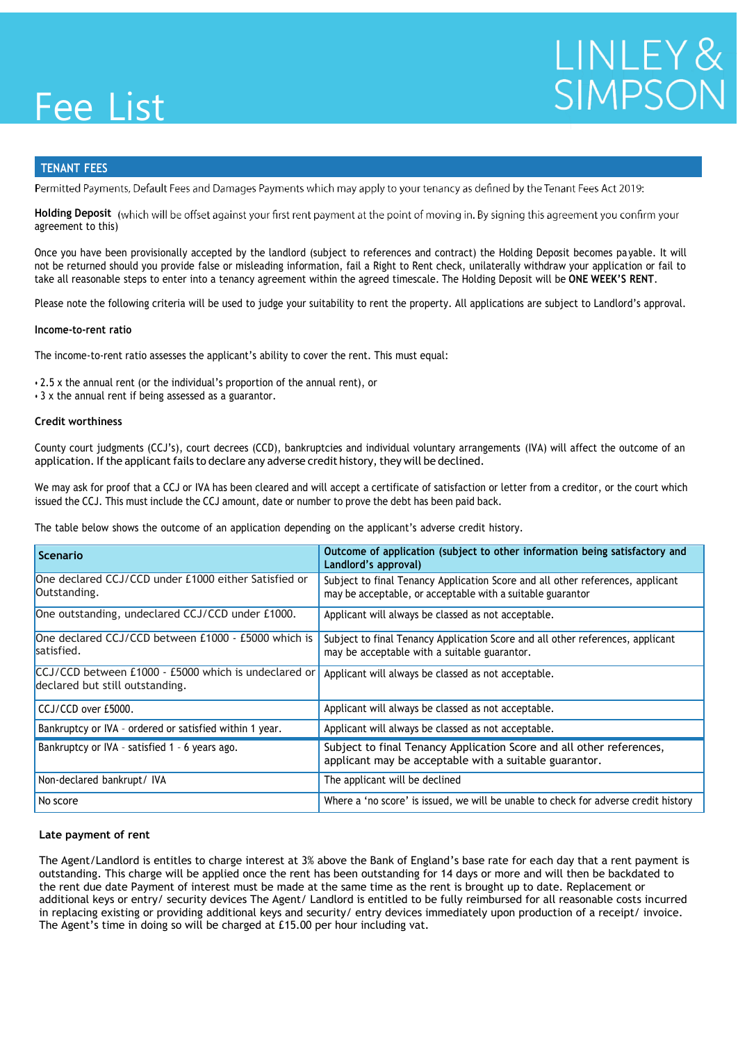## Fee List

# LINLEY&<br>SIMPSON

### **TENANT FEES**

Permitted Payments, Default Fees and Damages Payments which may apply to your tenancy as defined by the Tenant Fees Act 2019:

**Holding Deposit** (which will be offset against your first rent payment at the point of moving in. By signing this agreement you confirm<br>agreement to this) agreement to this)

Once you have been provisionally accepted by the landlord (subject to references and contract) the Holding Deposit becomes payable. It will Guarantor £150.00 £125.00 take all reasonable steps to enter into a tenancy agreement within the agreed timescale. The Holding Deposit will be **ONE WEEK'S RENT**. not be returned should you provide false or misleading information, fail a Right to Rent check, unilaterally withdraw your application or fail to

Please note the following criteria will be used to judge your suitability to rent the property. All applications are subject to Landlord's approval.<br>

#### Renewal fee (Shared 50/50 with Landlord. Total £120) £60.00 £50.00 **Income-to-rent ratio**

The income-to-rent ratio assesses the applicant's ability to cover the rent. This must equal:

• 2.5 x the annual rent (or the individual's proportion of the annual rent), or

• 3 x the annual rent if being assessed as a guarantor.

#### Deposit, if taken or the period between provisional acceptance and the date of rejection). **Credit worthiness**

County court judgments (CCJ's), court decrees (CCD), bankruptcies and individual voluntary arrangements (IVA) will affect the outcome of an application. If the applicant fails to declare any adverse credit history, they will be declined.

We may ask for proof that a CCJ or IVA has been cleared and will accept a certificate of satisfaction or letter from a creditor, or the court which issued the CCJ. This must include the CCJ amount, date or number to prove the debt has been paid back.

The table below shows the outcome of an application depending on the applicant's adverse credit history.

| <b>Scenario</b>                                                                         | Outcome of application (subject to other information being satisfactory and<br>Landlord's approval)                                          |
|-----------------------------------------------------------------------------------------|----------------------------------------------------------------------------------------------------------------------------------------------|
| One declared CCJ/CCD under £1000 either Satisfied or<br>Outstanding.                    | Subject to final Tenancy Application Score and all other references, applicant<br>may be acceptable, or acceptable with a suitable guarantor |
| One outstanding, undeclared CCJ/CCD under £1000.                                        | Applicant will always be classed as not acceptable.                                                                                          |
| One declared CCJ/CCD between £1000 - £5000 which is<br>satisfied.                       | Subject to final Tenancy Application Score and all other references, applicant<br>may be acceptable with a suitable guarantor.               |
| CCJ/CCD between £1000 - £5000 which is undeclared or<br>declared but still outstanding. | Applicant will always be classed as not acceptable.                                                                                          |
| CCJ/CCD over £5000.                                                                     | Applicant will always be classed as not acceptable.                                                                                          |
| Bankruptcy or IVA - ordered or satisfied within 1 year.                                 | Applicant will always be classed as not acceptable.                                                                                          |
| Bankruptcy or IVA - satisfied 1 - 6 years ago.                                          | Subject to final Tenancy Application Score and all other references,<br>applicant may be acceptable with a suitable guarantor.               |
| Non-declared bankrupt/ IVA                                                              | The applicant will be declined                                                                                                               |
| No score                                                                                | Where a 'no score' is issued, we will be unable to check for adverse credit history                                                          |

#### **Late payment of rent**

The Agent/Landlord is entitles to charge interest at 3% above the Bank of England's base rate for each day that a rent payment is outstanding. This charge will be applied once the rent has been outstanding for 14 days or more and will then be backdated to the rent due date Payment of interest must be made at the same time as the rent is brought up to date. Replacement or additional keys or entry/ security devices The Agent/ Landlord is entitled to be fully reimbursed for all reasonable costs incurred in replacing existing or providing additional keys and security/ entry devices immediately upon production of a receipt/ invoice. The Agent's time in doing so will be charged at £15.00 per hour including vat.